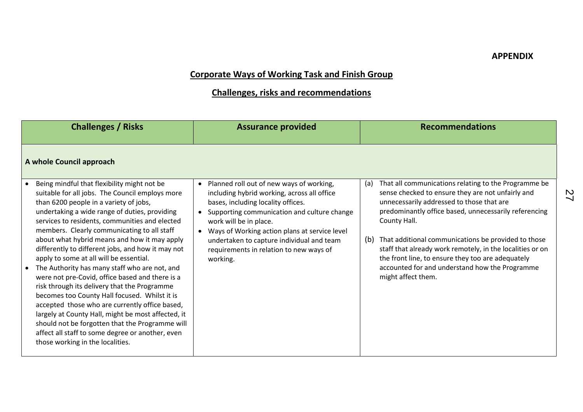## **Corporate Ways of Working Task and Finish Group**

## **Challenges, risks and recommendations**

| <b>Challenges / Risks</b>                                                                                                                                                                                                                                                                                                                                                                                                                                                                                                                                                                                                                                                                                                                                                                                                                                                                          | <b>Assurance provided</b>                                                                                                                                                                                                                                                                                                                                   | <b>Recommendations</b>                                                                                                                                                                                                                                                                                                                                                                                                                                                                         |
|----------------------------------------------------------------------------------------------------------------------------------------------------------------------------------------------------------------------------------------------------------------------------------------------------------------------------------------------------------------------------------------------------------------------------------------------------------------------------------------------------------------------------------------------------------------------------------------------------------------------------------------------------------------------------------------------------------------------------------------------------------------------------------------------------------------------------------------------------------------------------------------------------|-------------------------------------------------------------------------------------------------------------------------------------------------------------------------------------------------------------------------------------------------------------------------------------------------------------------------------------------------------------|------------------------------------------------------------------------------------------------------------------------------------------------------------------------------------------------------------------------------------------------------------------------------------------------------------------------------------------------------------------------------------------------------------------------------------------------------------------------------------------------|
| A whole Council approach                                                                                                                                                                                                                                                                                                                                                                                                                                                                                                                                                                                                                                                                                                                                                                                                                                                                           |                                                                                                                                                                                                                                                                                                                                                             |                                                                                                                                                                                                                                                                                                                                                                                                                                                                                                |
| Being mindful that flexibility might not be<br>suitable for all jobs. The Council employs more<br>than 6200 people in a variety of jobs,<br>undertaking a wide range of duties, providing<br>services to residents, communities and elected<br>members. Clearly communicating to all staff<br>about what hybrid means and how it may apply<br>differently to different jobs, and how it may not<br>apply to some at all will be essential.<br>The Authority has many staff who are not, and<br>were not pre-Covid, office based and there is a<br>risk through its delivery that the Programme<br>becomes too County Hall focused. Whilst it is<br>accepted those who are currently office based,<br>largely at County Hall, might be most affected, it<br>should not be forgotten that the Programme will<br>affect all staff to some degree or another, even<br>those working in the localities. | Planned roll out of new ways of working,<br>including hybrid working, across all office<br>bases, including locality offices.<br>Supporting communication and culture change<br>work will be in place.<br>Ways of Working action plans at service level<br>undertaken to capture individual and team<br>requirements in relation to new ways of<br>working. | That all communications relating to the Programme be<br>(a)<br>sense checked to ensure they are not unfairly and<br>unnecessarily addressed to those that are<br>predominantly office based, unnecessarily referencing<br>County Hall.<br>That additional communications be provided to those<br>(b)<br>staff that already work remotely, in the localities or on<br>the front line, to ensure they too are adequately<br>accounted for and understand how the Programme<br>might affect them. |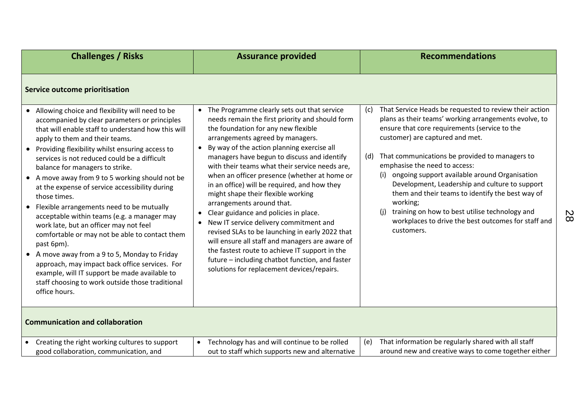| <b>Challenges / Risks</b>                                                                                                                                                                                                                                                                                                                                                                                                                                                                                                                                                                                                                                                                                                                                                                                                                                                                                  | <b>Assurance provided</b>                                                                                                                                                                                                                                                                                                                                                                                                                                                                                                                                                                                                                                                                                                                                                                                                                                         | <b>Recommendations</b>                                                                                                                                                                                                                                                                                                                                                                                                                                                                                                                                                                                    |  |  |  |
|------------------------------------------------------------------------------------------------------------------------------------------------------------------------------------------------------------------------------------------------------------------------------------------------------------------------------------------------------------------------------------------------------------------------------------------------------------------------------------------------------------------------------------------------------------------------------------------------------------------------------------------------------------------------------------------------------------------------------------------------------------------------------------------------------------------------------------------------------------------------------------------------------------|-------------------------------------------------------------------------------------------------------------------------------------------------------------------------------------------------------------------------------------------------------------------------------------------------------------------------------------------------------------------------------------------------------------------------------------------------------------------------------------------------------------------------------------------------------------------------------------------------------------------------------------------------------------------------------------------------------------------------------------------------------------------------------------------------------------------------------------------------------------------|-----------------------------------------------------------------------------------------------------------------------------------------------------------------------------------------------------------------------------------------------------------------------------------------------------------------------------------------------------------------------------------------------------------------------------------------------------------------------------------------------------------------------------------------------------------------------------------------------------------|--|--|--|
| Service outcome prioritisation                                                                                                                                                                                                                                                                                                                                                                                                                                                                                                                                                                                                                                                                                                                                                                                                                                                                             |                                                                                                                                                                                                                                                                                                                                                                                                                                                                                                                                                                                                                                                                                                                                                                                                                                                                   |                                                                                                                                                                                                                                                                                                                                                                                                                                                                                                                                                                                                           |  |  |  |
| Allowing choice and flexibility will need to be<br>accompanied by clear parameters or principles<br>that will enable staff to understand how this will<br>apply to them and their teams.<br>• Providing flexibility whilst ensuring access to<br>services is not reduced could be a difficult<br>balance for managers to strike.<br>A move away from 9 to 5 working should not be<br>$\bullet$<br>at the expense of service accessibility during<br>those times.<br>Flexible arrangements need to be mutually<br>acceptable within teams (e.g. a manager may<br>work late, but an officer may not feel<br>comfortable or may not be able to contact them<br>past 6pm).<br>A move away from a 9 to 5, Monday to Friday<br>$\bullet$<br>approach, may impact back office services. For<br>example, will IT support be made available to<br>staff choosing to work outside those traditional<br>office hours. | The Programme clearly sets out that service<br>$\bullet$<br>needs remain the first priority and should form<br>the foundation for any new flexible<br>arrangements agreed by managers.<br>By way of the action planning exercise all<br>managers have begun to discuss and identify<br>with their teams what their service needs are,<br>when an officer presence (whether at home or<br>in an office) will be required, and how they<br>might shape their flexible working<br>arrangements around that.<br>Clear guidance and policies in place.<br>New IT service delivery commitment and<br>$\bullet$<br>revised SLAs to be launching in early 2022 that<br>will ensure all staff and managers are aware of<br>the fastest route to achieve IT support in the<br>future - including chatbot function, and faster<br>solutions for replacement devices/repairs. | That Service Heads be requested to review their action<br>(c)<br>plans as their teams' working arrangements evolve, to<br>ensure that core requirements (service to the<br>customer) are captured and met.<br>That communications be provided to managers to<br>(d)<br>emphasise the need to access:<br>(i) ongoing support available around Organisation<br>Development, Leadership and culture to support<br>them and their teams to identify the best way of<br>working;<br>training on how to best utilise technology and<br>(i)<br>workplaces to drive the best outcomes for staff and<br>customers. |  |  |  |
| <b>Communication and collaboration</b>                                                                                                                                                                                                                                                                                                                                                                                                                                                                                                                                                                                                                                                                                                                                                                                                                                                                     |                                                                                                                                                                                                                                                                                                                                                                                                                                                                                                                                                                                                                                                                                                                                                                                                                                                                   |                                                                                                                                                                                                                                                                                                                                                                                                                                                                                                                                                                                                           |  |  |  |
| Creating the right working cultures to support<br>$\bullet$<br>good collaboration, communication, and                                                                                                                                                                                                                                                                                                                                                                                                                                                                                                                                                                                                                                                                                                                                                                                                      | Technology has and will continue to be rolled<br>$\bullet$<br>out to staff which supports new and alternative                                                                                                                                                                                                                                                                                                                                                                                                                                                                                                                                                                                                                                                                                                                                                     | That information be regularly shared with all staff<br>(e)<br>around new and creative ways to come together either                                                                                                                                                                                                                                                                                                                                                                                                                                                                                        |  |  |  |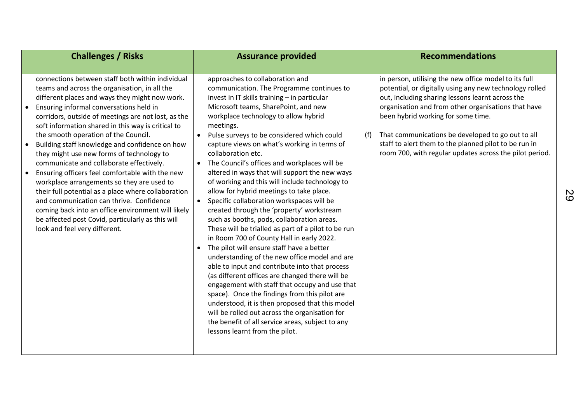| <b>Challenges / Risks</b>                                                                                                                                                                                                                                                                                                                                                                                                                                                                                                                                                                                                                                                                                                                                                                                                                                                | <b>Assurance provided</b>                                                                                                                                                                                                                                                                                                                                                                                                                                                                                                                                                                                                                                                                                                                                                                                                                                                                                                                                                                                                                                                                                                                                                                                                                                                                                                        | <b>Recommendations</b>                                                                                                                                                                                                                                                                                                                                                                                                                            |
|--------------------------------------------------------------------------------------------------------------------------------------------------------------------------------------------------------------------------------------------------------------------------------------------------------------------------------------------------------------------------------------------------------------------------------------------------------------------------------------------------------------------------------------------------------------------------------------------------------------------------------------------------------------------------------------------------------------------------------------------------------------------------------------------------------------------------------------------------------------------------|----------------------------------------------------------------------------------------------------------------------------------------------------------------------------------------------------------------------------------------------------------------------------------------------------------------------------------------------------------------------------------------------------------------------------------------------------------------------------------------------------------------------------------------------------------------------------------------------------------------------------------------------------------------------------------------------------------------------------------------------------------------------------------------------------------------------------------------------------------------------------------------------------------------------------------------------------------------------------------------------------------------------------------------------------------------------------------------------------------------------------------------------------------------------------------------------------------------------------------------------------------------------------------------------------------------------------------|---------------------------------------------------------------------------------------------------------------------------------------------------------------------------------------------------------------------------------------------------------------------------------------------------------------------------------------------------------------------------------------------------------------------------------------------------|
| connections between staff both within individual<br>teams and across the organisation, in all the<br>different places and ways they might now work.<br>Ensuring informal conversations held in<br>$\bullet$<br>corridors, outside of meetings are not lost, as the<br>soft information shared in this way is critical to<br>the smooth operation of the Council.<br>Building staff knowledge and confidence on how<br>$\bullet$<br>they might use new forms of technology to<br>communicate and collaborate effectively.<br>Ensuring officers feel comfortable with the new<br>workplace arrangements so they are used to<br>their full potential as a place where collaboration<br>and communication can thrive. Confidence<br>coming back into an office environment will likely<br>be affected post Covid, particularly as this will<br>look and feel very different. | approaches to collaboration and<br>communication. The Programme continues to<br>invest in IT skills training - in particular<br>Microsoft teams, SharePoint, and new<br>workplace technology to allow hybrid<br>meetings.<br>Pulse surveys to be considered which could<br>$\bullet$<br>capture views on what's working in terms of<br>collaboration etc.<br>The Council's offices and workplaces will be<br>altered in ways that will support the new ways<br>of working and this will include technology to<br>allow for hybrid meetings to take place.<br>Specific collaboration workspaces will be<br>$\bullet$<br>created through the 'property' workstream<br>such as booths, pods, collaboration areas.<br>These will be trialled as part of a pilot to be run<br>in Room 700 of County Hall in early 2022.<br>The pilot will ensure staff have a better<br>$\bullet$<br>understanding of the new office model and are<br>able to input and contribute into that process<br>(as different offices are changed there will be<br>engagement with staff that occupy and use that<br>space). Once the findings from this pilot are<br>understood, it is then proposed that this model<br>will be rolled out across the organisation for<br>the benefit of all service areas, subject to any<br>lessons learnt from the pilot. | in person, utilising the new office model to its full<br>potential, or digitally using any new technology rolled<br>out, including sharing lessons learnt across the<br>organisation and from other organisations that have<br>been hybrid working for some time.<br>That communications be developed to go out to all<br>(f)<br>staff to alert them to the planned pilot to be run in<br>room 700, with regular updates across the pilot period. |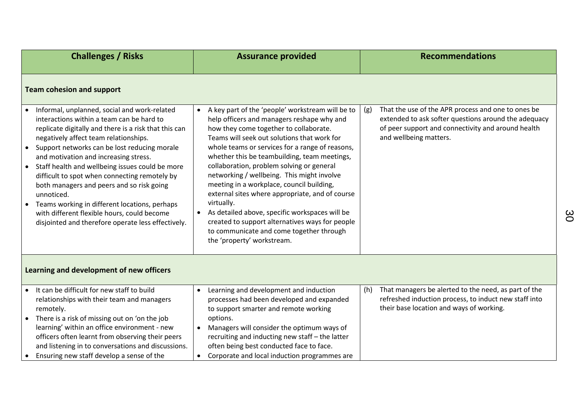| <b>Challenges / Risks</b>                                                                                                                                                                                                                                                                                                                                                                                                                                                                                                                                                                                                             | <b>Assurance provided</b>                                                                                                                                                                                                                                                                                                                                                                                                                                                                                                                                                                                                                                                                                    | <b>Recommendations</b>                                                                                                                                                                            |
|---------------------------------------------------------------------------------------------------------------------------------------------------------------------------------------------------------------------------------------------------------------------------------------------------------------------------------------------------------------------------------------------------------------------------------------------------------------------------------------------------------------------------------------------------------------------------------------------------------------------------------------|--------------------------------------------------------------------------------------------------------------------------------------------------------------------------------------------------------------------------------------------------------------------------------------------------------------------------------------------------------------------------------------------------------------------------------------------------------------------------------------------------------------------------------------------------------------------------------------------------------------------------------------------------------------------------------------------------------------|---------------------------------------------------------------------------------------------------------------------------------------------------------------------------------------------------|
| <b>Team cohesion and support</b>                                                                                                                                                                                                                                                                                                                                                                                                                                                                                                                                                                                                      |                                                                                                                                                                                                                                                                                                                                                                                                                                                                                                                                                                                                                                                                                                              |                                                                                                                                                                                                   |
| Informal, unplanned, social and work-related<br>interactions within a team can be hard to<br>replicate digitally and there is a risk that this can<br>negatively affect team relationships.<br>Support networks can be lost reducing morale<br>$\bullet$<br>and motivation and increasing stress.<br>• Staff health and wellbeing issues could be more<br>difficult to spot when connecting remotely by<br>both managers and peers and so risk going<br>unnoticed.<br>Teams working in different locations, perhaps<br>$\bullet$<br>with different flexible hours, could become<br>disjointed and therefore operate less effectively. | A key part of the 'people' workstream will be to<br>$\bullet$<br>help officers and managers reshape why and<br>how they come together to collaborate.<br>Teams will seek out solutions that work for<br>whole teams or services for a range of reasons,<br>whether this be teambuilding, team meetings,<br>collaboration, problem solving or general<br>networking / wellbeing. This might involve<br>meeting in a workplace, council building,<br>external sites where appropriate, and of course<br>virtually.<br>As detailed above, specific workspaces will be<br>$\bullet$<br>created to support alternatives ways for people<br>to communicate and come together through<br>the 'property' workstream. | That the use of the APR process and one to ones be<br>(g)<br>extended to ask softer questions around the adequacy<br>of peer support and connectivity and around health<br>and wellbeing matters. |
| Learning and development of new officers                                                                                                                                                                                                                                                                                                                                                                                                                                                                                                                                                                                              |                                                                                                                                                                                                                                                                                                                                                                                                                                                                                                                                                                                                                                                                                                              |                                                                                                                                                                                                   |
| • It can be difficult for new staff to build<br>relationships with their team and managers<br>remotely.<br>There is a risk of missing out on 'on the job<br>$\bullet$<br>learning' within an office environment - new<br>officers often learnt from observing their peers<br>and listening in to conversations and discussions.<br>Ensuring new staff develop a sense of the                                                                                                                                                                                                                                                          | Learning and development and induction<br>$\bullet$<br>processes had been developed and expanded<br>to support smarter and remote working<br>options.<br>Managers will consider the optimum ways of<br>$\bullet$<br>recruiting and inducting new staff - the latter<br>often being best conducted face to face.<br>Corporate and local induction programmes are<br>$\bullet$                                                                                                                                                                                                                                                                                                                                 | That managers be alerted to the need, as part of the<br>(h)<br>refreshed induction process, to induct new staff into<br>their base location and ways of working.                                  |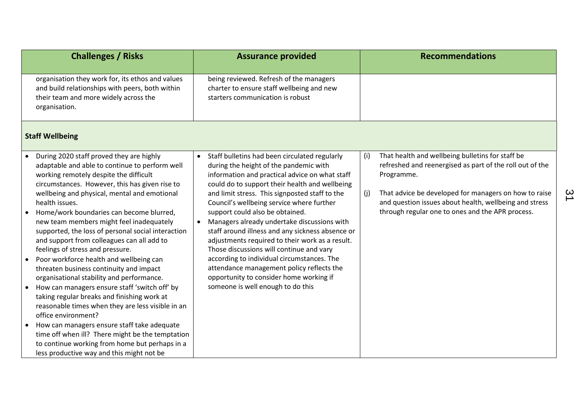| <b>Challenges / Risks</b>                                                                                                                                                                                                                                                                                                                                                                                                                                                                                                                                                                                                                                                                                                                                                                                                                                           | <b>Assurance provided</b>                                                                                                                                                                                                                                                                                                                                                                                                                                                                                                                                                                                                                                                                                                            | <b>Recommendations</b>                                                                                                                                                                                                                                                                                          |
|---------------------------------------------------------------------------------------------------------------------------------------------------------------------------------------------------------------------------------------------------------------------------------------------------------------------------------------------------------------------------------------------------------------------------------------------------------------------------------------------------------------------------------------------------------------------------------------------------------------------------------------------------------------------------------------------------------------------------------------------------------------------------------------------------------------------------------------------------------------------|--------------------------------------------------------------------------------------------------------------------------------------------------------------------------------------------------------------------------------------------------------------------------------------------------------------------------------------------------------------------------------------------------------------------------------------------------------------------------------------------------------------------------------------------------------------------------------------------------------------------------------------------------------------------------------------------------------------------------------------|-----------------------------------------------------------------------------------------------------------------------------------------------------------------------------------------------------------------------------------------------------------------------------------------------------------------|
| organisation they work for, its ethos and values<br>and build relationships with peers, both within<br>their team and more widely across the<br>organisation.                                                                                                                                                                                                                                                                                                                                                                                                                                                                                                                                                                                                                                                                                                       | being reviewed. Refresh of the managers<br>charter to ensure staff wellbeing and new<br>starters communication is robust                                                                                                                                                                                                                                                                                                                                                                                                                                                                                                                                                                                                             |                                                                                                                                                                                                                                                                                                                 |
| <b>Staff Wellbeing</b>                                                                                                                                                                                                                                                                                                                                                                                                                                                                                                                                                                                                                                                                                                                                                                                                                                              |                                                                                                                                                                                                                                                                                                                                                                                                                                                                                                                                                                                                                                                                                                                                      |                                                                                                                                                                                                                                                                                                                 |
| During 2020 staff proved they are highly<br>$\bullet$<br>adaptable and able to continue to perform well<br>working remotely despite the difficult<br>circumstances. However, this has given rise to<br>wellbeing and physical, mental and emotional<br>health issues.<br>Home/work boundaries can become blurred,<br>new team members might feel inadequately<br>supported, the loss of personal social interaction<br>and support from colleagues can all add to<br>feelings of stress and pressure.<br>Poor workforce health and wellbeing can<br>threaten business continuity and impact<br>organisational stability and performance.<br>How can managers ensure staff 'switch off' by<br>taking regular breaks and finishing work at<br>reasonable times when they are less visible in an<br>office environment?<br>How can managers ensure staff take adequate | Staff bulletins had been circulated regularly<br>$\bullet$<br>during the height of the pandemic with<br>information and practical advice on what staff<br>could do to support their health and wellbeing<br>and limit stress. This signposted staff to the<br>Council's wellbeing service where further<br>support could also be obtained.<br>Managers already undertake discussions with<br>$\bullet$<br>staff around illness and any sickness absence or<br>adjustments required to their work as a result.<br>Those discussions will continue and vary<br>according to individual circumstances. The<br>attendance management policy reflects the<br>opportunity to consider home working if<br>someone is well enough to do this | That health and wellbeing bulletins for staff be<br>(i)<br>refreshed and reenergised as part of the roll out of the<br>Programme.<br>That advice be developed for managers on how to raise<br>(j)<br>and question issues about health, wellbeing and stress<br>through regular one to ones and the APR process. |
| time off when ill? There might be the temptation<br>to continue working from home but perhaps in a<br>less productive way and this might not be                                                                                                                                                                                                                                                                                                                                                                                                                                                                                                                                                                                                                                                                                                                     |                                                                                                                                                                                                                                                                                                                                                                                                                                                                                                                                                                                                                                                                                                                                      |                                                                                                                                                                                                                                                                                                                 |

<u>ي</u>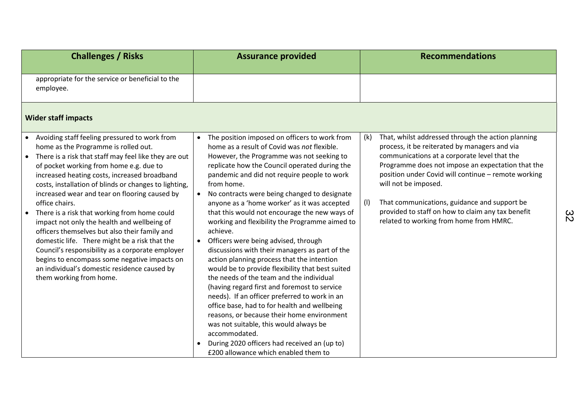| <b>Challenges / Risks</b>                                                                                                                                                                                                                                                                                                                                                                                                                                                                                                                                                                                                                                                                                                                               | <b>Assurance provided</b>                                                                                                                                                                                                                                                                                                                                                                                                                                                                                                                                                                                                                                                                                                                                                                                                                                                                                                                                                                                                                                        | <b>Recommendations</b>                                                                                                                                                                                                                                                                                                                                                                                                                                |
|---------------------------------------------------------------------------------------------------------------------------------------------------------------------------------------------------------------------------------------------------------------------------------------------------------------------------------------------------------------------------------------------------------------------------------------------------------------------------------------------------------------------------------------------------------------------------------------------------------------------------------------------------------------------------------------------------------------------------------------------------------|------------------------------------------------------------------------------------------------------------------------------------------------------------------------------------------------------------------------------------------------------------------------------------------------------------------------------------------------------------------------------------------------------------------------------------------------------------------------------------------------------------------------------------------------------------------------------------------------------------------------------------------------------------------------------------------------------------------------------------------------------------------------------------------------------------------------------------------------------------------------------------------------------------------------------------------------------------------------------------------------------------------------------------------------------------------|-------------------------------------------------------------------------------------------------------------------------------------------------------------------------------------------------------------------------------------------------------------------------------------------------------------------------------------------------------------------------------------------------------------------------------------------------------|
| appropriate for the service or beneficial to the<br>employee.                                                                                                                                                                                                                                                                                                                                                                                                                                                                                                                                                                                                                                                                                           |                                                                                                                                                                                                                                                                                                                                                                                                                                                                                                                                                                                                                                                                                                                                                                                                                                                                                                                                                                                                                                                                  |                                                                                                                                                                                                                                                                                                                                                                                                                                                       |
| <b>Wider staff impacts</b>                                                                                                                                                                                                                                                                                                                                                                                                                                                                                                                                                                                                                                                                                                                              |                                                                                                                                                                                                                                                                                                                                                                                                                                                                                                                                                                                                                                                                                                                                                                                                                                                                                                                                                                                                                                                                  |                                                                                                                                                                                                                                                                                                                                                                                                                                                       |
| • Avoiding staff feeling pressured to work from<br>home as the Programme is rolled out.<br>There is a risk that staff may feel like they are out<br>of pocket working from home e.g. due to<br>increased heating costs, increased broadband<br>costs, installation of blinds or changes to lighting,<br>increased wear and tear on flooring caused by<br>office chairs.<br>There is a risk that working from home could<br>impact not only the health and wellbeing of<br>officers themselves but also their family and<br>domestic life. There might be a risk that the<br>Council's responsibility as a corporate employer<br>begins to encompass some negative impacts on<br>an individual's domestic residence caused by<br>them working from home. | The position imposed on officers to work from<br>home as a result of Covid was not flexible.<br>However, the Programme was not seeking to<br>replicate how the Council operated during the<br>pandemic and did not require people to work<br>from home.<br>No contracts were being changed to designate<br>anyone as a 'home worker' as it was accepted<br>that this would not encourage the new ways of<br>working and flexibility the Programme aimed to<br>achieve.<br>Officers were being advised, through<br>discussions with their managers as part of the<br>action planning process that the intention<br>would be to provide flexibility that best suited<br>the needs of the team and the individual<br>(having regard first and foremost to service<br>needs). If an officer preferred to work in an<br>office base, had to for health and wellbeing<br>reasons, or because their home environment<br>was not suitable, this would always be<br>accommodated.<br>During 2020 officers had received an (up to)<br>£200 allowance which enabled them to | That, whilst addressed through the action planning<br>(k)<br>process, it be reiterated by managers and via<br>communications at a corporate level that the<br>Programme does not impose an expectation that the<br>position under Covid will continue - remote working<br>will not be imposed.<br>(1)<br>That communications, guidance and support be<br>provided to staff on how to claim any tax benefit<br>related to working from home from HMRC. |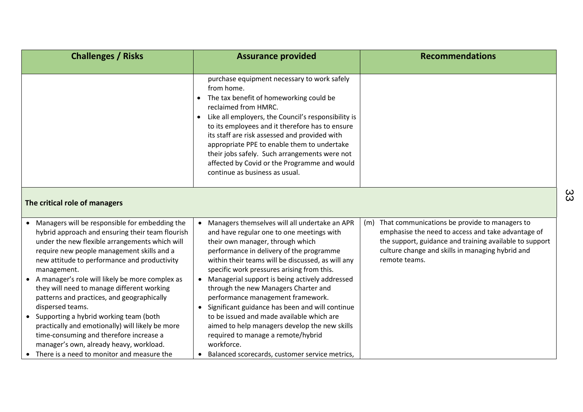| <b>Challenges / Risks</b>                                                                                                                                                                                                                                                                                                                                                                                                                                                                                                                                                                                                                                                      | <b>Assurance provided</b>                                                                                                                                                                                                                                                                                                                                                                                                                                                                                                                                                                                                                                                 | <b>Recommendations</b>                                                                                                                                                                                                                  |
|--------------------------------------------------------------------------------------------------------------------------------------------------------------------------------------------------------------------------------------------------------------------------------------------------------------------------------------------------------------------------------------------------------------------------------------------------------------------------------------------------------------------------------------------------------------------------------------------------------------------------------------------------------------------------------|---------------------------------------------------------------------------------------------------------------------------------------------------------------------------------------------------------------------------------------------------------------------------------------------------------------------------------------------------------------------------------------------------------------------------------------------------------------------------------------------------------------------------------------------------------------------------------------------------------------------------------------------------------------------------|-----------------------------------------------------------------------------------------------------------------------------------------------------------------------------------------------------------------------------------------|
|                                                                                                                                                                                                                                                                                                                                                                                                                                                                                                                                                                                                                                                                                | purchase equipment necessary to work safely<br>from home.<br>The tax benefit of homeworking could be<br>$\bullet$<br>reclaimed from HMRC.<br>Like all employers, the Council's responsibility is<br>$\bullet$<br>to its employees and it therefore has to ensure<br>its staff are risk assessed and provided with<br>appropriate PPE to enable them to undertake<br>their jobs safely. Such arrangements were not<br>affected by Covid or the Programme and would<br>continue as business as usual.                                                                                                                                                                       |                                                                                                                                                                                                                                         |
| The critical role of managers                                                                                                                                                                                                                                                                                                                                                                                                                                                                                                                                                                                                                                                  |                                                                                                                                                                                                                                                                                                                                                                                                                                                                                                                                                                                                                                                                           |                                                                                                                                                                                                                                         |
| • Managers will be responsible for embedding the<br>hybrid approach and ensuring their team flourish<br>under the new flexible arrangements which will<br>require new people management skills and a<br>new attitude to performance and productivity<br>management.<br>• A manager's role will likely be more complex as<br>they will need to manage different working<br>patterns and practices, and geographically<br>dispersed teams.<br>• Supporting a hybrid working team (both<br>practically and emotionally) will likely be more<br>time-consuming and therefore increase a<br>manager's own, already heavy, workload.<br>• There is a need to monitor and measure the | • Managers themselves will all undertake an APR<br>and have regular one to one meetings with<br>their own manager, through which<br>performance in delivery of the programme<br>within their teams will be discussed, as will any<br>specific work pressures arising from this.<br>• Managerial support is being actively addressed<br>through the new Managers Charter and<br>performance management framework.<br>• Significant guidance has been and will continue<br>to be issued and made available which are<br>aimed to help managers develop the new skills<br>required to manage a remote/hybrid<br>workforce.<br>Balanced scorecards, customer service metrics, | (m) That communications be provide to managers to<br>emphasise the need to access and take advantage of<br>the support, guidance and training available to support<br>culture change and skills in managing hybrid and<br>remote teams. |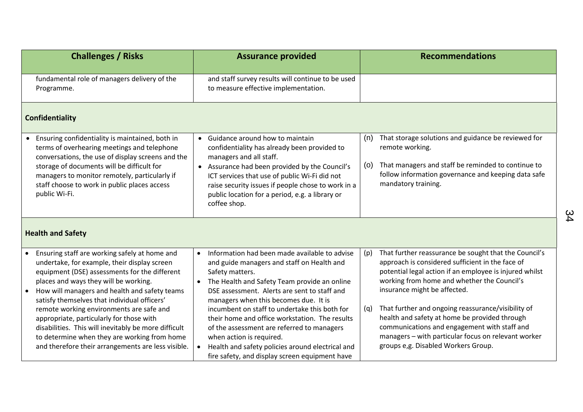|           | <b>Challenges / Risks</b>                                                                                                                                                                                                                                                                                           |                        | <b>Assurance provided</b>                                                                                                                                                                                                                                                                                                                |            | <b>Recommendations</b>                                                                                                                                                                                                                              |
|-----------|---------------------------------------------------------------------------------------------------------------------------------------------------------------------------------------------------------------------------------------------------------------------------------------------------------------------|------------------------|------------------------------------------------------------------------------------------------------------------------------------------------------------------------------------------------------------------------------------------------------------------------------------------------------------------------------------------|------------|-----------------------------------------------------------------------------------------------------------------------------------------------------------------------------------------------------------------------------------------------------|
|           | fundamental role of managers delivery of the<br>Programme.                                                                                                                                                                                                                                                          |                        | and staff survey results will continue to be used<br>to measure effective implementation.                                                                                                                                                                                                                                                |            |                                                                                                                                                                                                                                                     |
|           | <b>Confidentiality</b>                                                                                                                                                                                                                                                                                              |                        |                                                                                                                                                                                                                                                                                                                                          |            |                                                                                                                                                                                                                                                     |
| $\bullet$ | Ensuring confidentiality is maintained, both in<br>terms of overhearing meetings and telephone<br>conversations, the use of display screens and the<br>storage of documents will be difficult for<br>managers to monitor remotely, particularly if<br>staff choose to work in public places access<br>public Wi-Fi. |                        | • Guidance around how to maintain<br>confidentiality has already been provided to<br>managers and all staff.<br>• Assurance had been provided by the Council's<br>ICT services that use of public Wi-Fi did not<br>raise security issues if people chose to work in a<br>public location for a period, e.g. a library or<br>coffee shop. | (n)<br>(0) | That storage solutions and guidance be reviewed for<br>remote working.<br>That managers and staff be reminded to continue to<br>follow information governance and keeping data safe<br>mandatory training.                                          |
|           | <b>Health and Safety</b>                                                                                                                                                                                                                                                                                            |                        |                                                                                                                                                                                                                                                                                                                                          |            |                                                                                                                                                                                                                                                     |
|           | Ensuring staff are working safely at home and<br>undertake, for example, their display screen<br>equipment (DSE) assessments for the different<br>places and ways they will be working.<br>How will managers and health and safety teams<br>satisfy themselves that individual officers'                            | $\bullet$<br>$\bullet$ | Information had been made available to advise<br>and guide managers and staff on Health and<br>Safety matters.<br>The Health and Safety Team provide an online<br>DSE assessment. Alerts are sent to staff and<br>managers when this becomes due. It is                                                                                  | (p)        | That further reassurance be sought that the Council's<br>approach is considered sufficient in the face of<br>potential legal action if an employee is injured whilst<br>working from home and whether the Council's<br>insurance might be affected. |
|           | remote working environments are safe and<br>appropriate, particularly for those with<br>disabilities. This will inevitably be more difficult<br>to determine when they are working from home<br>and therefore their arrangements are less visible.                                                                  |                        | incumbent on staff to undertake this both for<br>their home and office workstation. The results<br>of the assessment are referred to managers<br>when action is required.<br>Health and safety policies around electrical and<br>fire safety, and display screen equipment have                                                          | (q)        | That further and ongoing reassurance/visibility of<br>health and safety at home be provided through<br>communications and engagement with staff and<br>managers - with particular focus on relevant worker<br>groups e,g. Disabled Workers Group.   |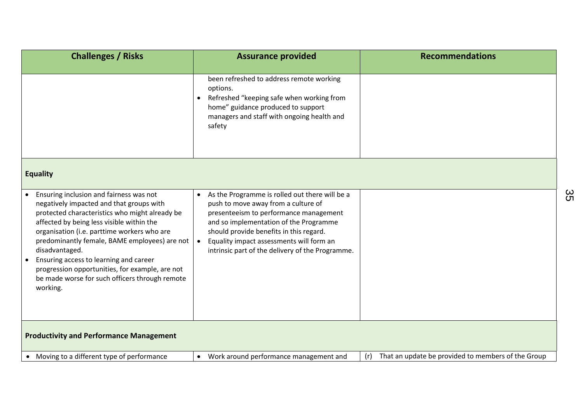| <b>Challenges / Risks</b>                                                                                                                                                                                                                                                                                                                                                                                                                                                    | <b>Assurance provided</b>                                                                                                                                                                                                                                                                                                         | <b>Recommendations</b>                                    |
|------------------------------------------------------------------------------------------------------------------------------------------------------------------------------------------------------------------------------------------------------------------------------------------------------------------------------------------------------------------------------------------------------------------------------------------------------------------------------|-----------------------------------------------------------------------------------------------------------------------------------------------------------------------------------------------------------------------------------------------------------------------------------------------------------------------------------|-----------------------------------------------------------|
|                                                                                                                                                                                                                                                                                                                                                                                                                                                                              | been refreshed to address remote working<br>options.<br>Refreshed "keeping safe when working from<br>$\bullet$<br>home" guidance produced to support<br>managers and staff with ongoing health and<br>safety                                                                                                                      |                                                           |
| <b>Equality</b>                                                                                                                                                                                                                                                                                                                                                                                                                                                              |                                                                                                                                                                                                                                                                                                                                   |                                                           |
| Ensuring inclusion and fairness was not<br>negatively impacted and that groups with<br>protected characteristics who might already be<br>affected by being less visible within the<br>organisation (i.e. parttime workers who are<br>predominantly female, BAME employees) are not<br>disadvantaged.<br>Ensuring access to learning and career<br>$\bullet$<br>progression opportunities, for example, are not<br>be made worse for such officers through remote<br>working. | As the Programme is rolled out there will be a<br>$\bullet$<br>push to move away from a culture of<br>presenteeism to performance management<br>and so implementation of the Programme<br>should provide benefits in this regard.<br>Equality impact assessments will form an<br>intrinsic part of the delivery of the Programme. |                                                           |
| <b>Productivity and Performance Management</b>                                                                                                                                                                                                                                                                                                                                                                                                                               |                                                                                                                                                                                                                                                                                                                                   |                                                           |
| • Moving to a different type of performance                                                                                                                                                                                                                                                                                                                                                                                                                                  | Work around performance management and<br>$\bullet$                                                                                                                                                                                                                                                                               | That an update be provided to members of the Group<br>(r) |